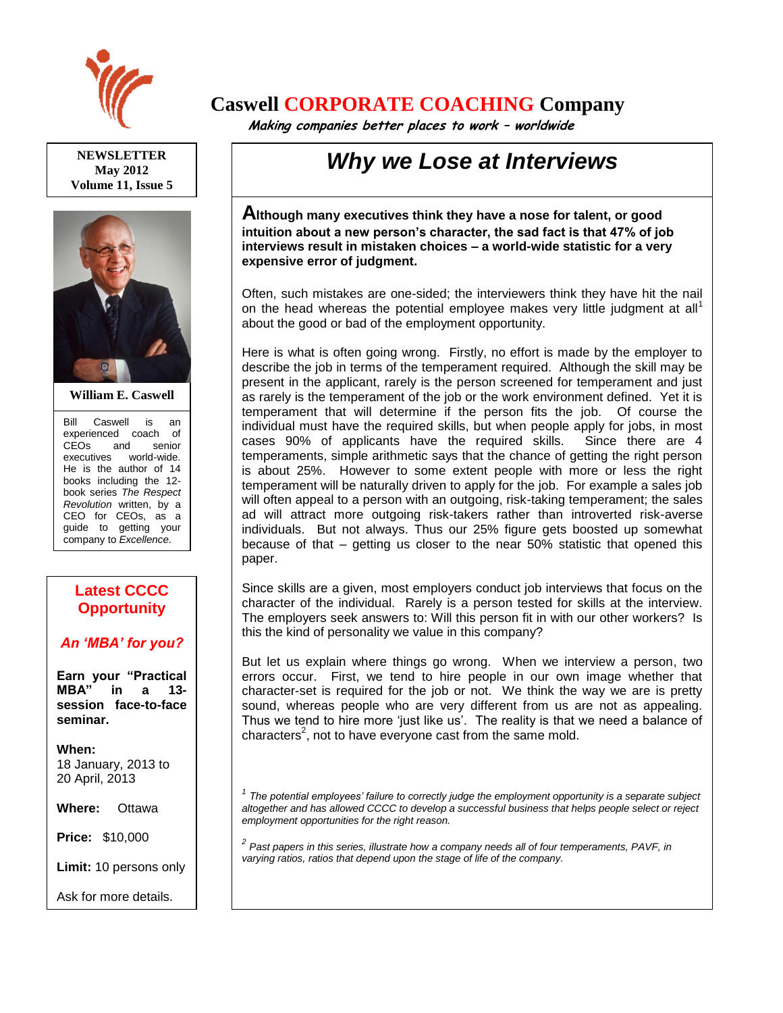

**NEWSLETTER May 2012 Volume 11, Issue 5**



**William E. Caswell**

Bill Caswell is an experienced coach of CEOs and senior executives world-wide. He is the author of 14 books including the 12 book series *The Respect Revolution* written, by a CEO for CEOs, as a guide to getting your company to *Excellence*.

## **Latest CCCC Opportunity**

## *An 'MBA' for you?*

**Earn your "Practical MBA" in a 13 session face-to-face seminar.**

**When:** 18 January, 2013 to 20 April, 2013

**Where:** Ottawa

**Price:** \$10,000

**Limit:** 10 persons only

Ask for more details.

## **Caswell CORPORATE COACHING Company**

 **Making companies better places to work – worldwide**

## *Why we Lose at Interviews*

**Although many executives think they have a nose for talent, or good intuition about a new person's character, the sad fact is that 47% of job interviews result in mistaken choices – a world-wide statistic for a very expensive error of judgment.**

Often, such mistakes are one-sided; the interviewers think they have hit the nail on the head whereas the potential employee makes very little judgment at all<sup>1</sup> about the good or bad of the employment opportunity.

Here is what is often going wrong. Firstly, no effort is made by the employer to describe the job in terms of the temperament required. Although the skill may be present in the applicant, rarely is the person screened for temperament and just as rarely is the temperament of the job or the work environment defined. Yet it is temperament that will determine if the person fits the job. Of course the individual must have the required skills, but when people apply for jobs, in most cases 90% of applicants have the required skills. Since there are 4 temperaments, simple arithmetic says that the chance of getting the right person is about 25%. However to some extent people with more or less the right temperament will be naturally driven to apply for the job. For example a sales job will often appeal to a person with an outgoing, risk-taking temperament; the sales ad will attract more outgoing risk-takers rather than introverted risk-averse individuals. But not always. Thus our 25% figure gets boosted up somewhat because of that – getting us closer to the near 50% statistic that opened this paper.

Since skills are a given, most employers conduct job interviews that focus on the character of the individual. Rarely is a person tested for skills at the interview. The employers seek answers to: Will this person fit in with our other workers? Is this the kind of personality we value in this company?

But let us explain where things go wrong. When we interview a person, two errors occur. First, we tend to hire people in our own image whether that character-set is required for the job or not. We think the way we are is pretty sound, whereas people who are very different from us are not as appealing. Thus we tend to hire more 'just like us'. The reality is that we need a balance of characters<sup>2</sup>, not to have everyone cast from the same mold.

<sup>1</sup> The potential employees' failure to correctly judge the employment opportunity is a separate subject *altogether and has allowed CCCC to develop a successful business that helps people select or reject employment opportunities for the right reason.*

*2 Past papers in this series, illustrate how a company needs all of four temperaments, PAVF, in varying ratios, ratios that depend upon the stage of life of the company.*